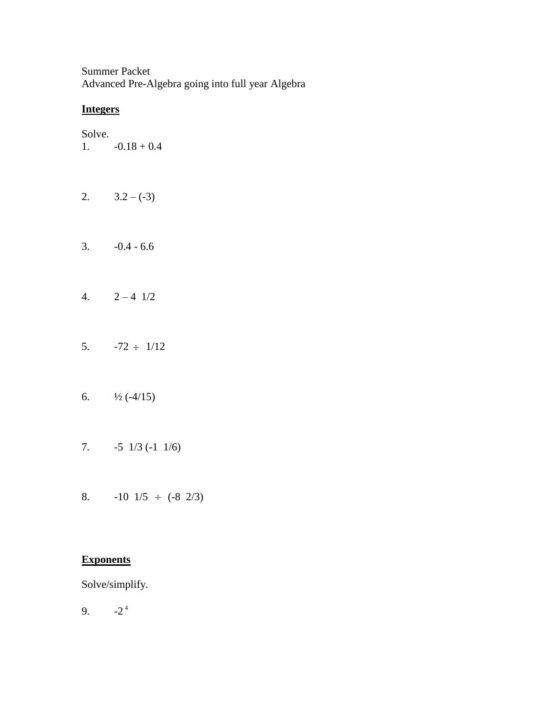Summer Packet Advanced Pre-Algebra going into full year Algebra

## **Integers**

Solve.

1.  $-0.18 + 0.4$ 

- 2.  $3.2 (-3)$
- $3. \t -0.4 6.6$
- 4.  $2 4 \frac{1}{2}$
- 5.  $-72 \div 1/12$
- 6.  $\frac{1}{2}$  (-4/15)
- 7. -5 1/3 (-1 1/6)
- 8.  $-10 \frac{1}{5} \div (-8 \frac{2}{3})$

## **Exponents**

Solve/simplify.

 $9.$  $-2^{4}$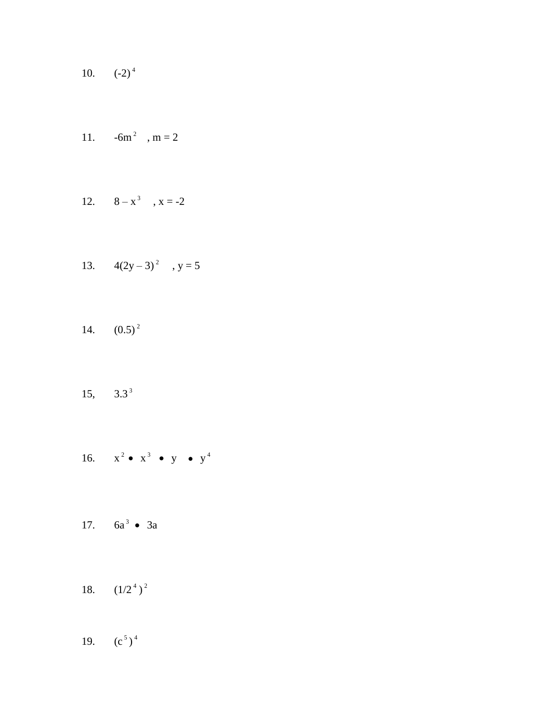10.  $(-2)^4$ 

11. 
$$
-6m^2
$$
,  $m = 2$ 

12. 
$$
8-x^3
$$
,  $x = -2$ 

13. 
$$
4(2y-3)^2
$$
,  $y = 5$ 

- 14.  $(0.5)^2$
- 15,  $3.3^3$
- 16.  $x^2 \bullet x^3 \bullet y \bullet y^4$
- 17.  $6a^3 \bullet 3a$
- 18.  $(1/2^4)^2$
- 19.  $(c^5)^4$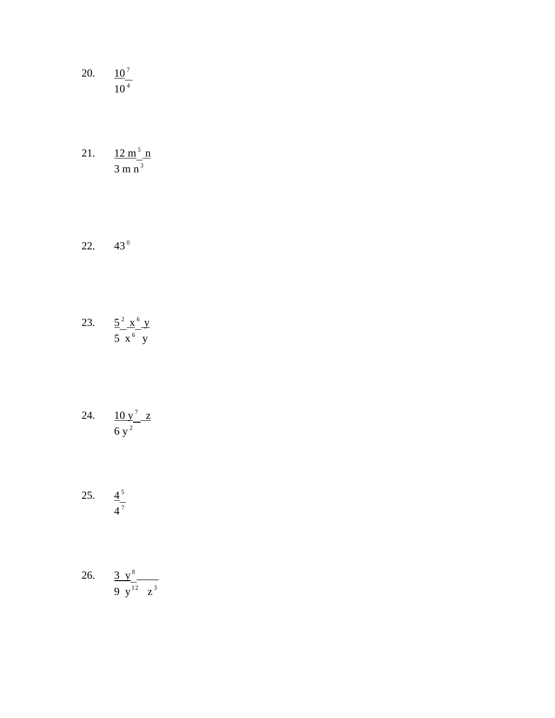- 20.  $\frac{10^7}{10^4}$
- 21.  $\frac{12 \text{ m}^5 \text{ n}}{3 \text{ m n}^3}$
- 22.  $43^{\circ}$
- 23.  $rac{5^{2} \times 6}{5 \times 6}y$
- 24.  $\frac{10 y^7 z}{6 y^2}$
- 25.  $\frac{4^5}{4^7}$
- 26.  $\frac{3 y^8}{9 y^{12} z^3}$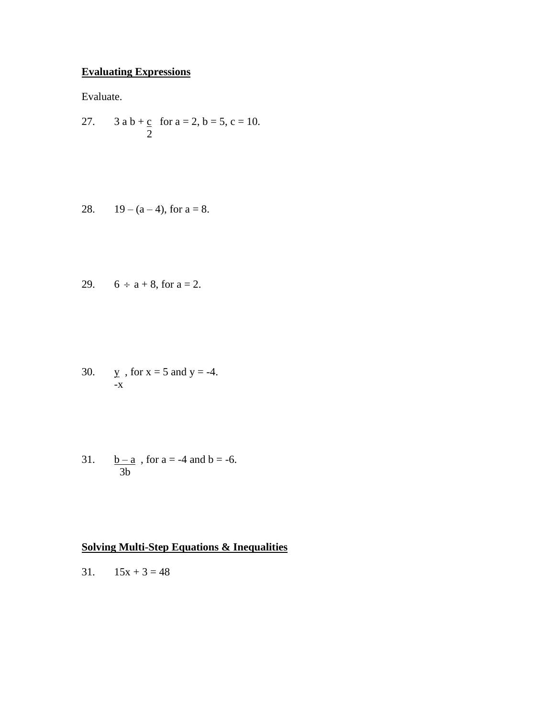# **Evaluating Expressions**

Evaluate.

27. 3 a b + c for a = 2, b = 5, c = 10. 2

28. 
$$
19 - (a - 4)
$$
, for  $a = 8$ .

29. 
$$
6 \div a + 8
$$
, for  $a = 2$ .

30.  $y = \text{for } x = 5 \text{ and } y = -4.$ -x

31.  $b - a$ , for  $a = -4$  and  $b = -6$ . 3b

## **Solving Multi-Step Equations & Inequalities**

31.  $15x + 3 = 48$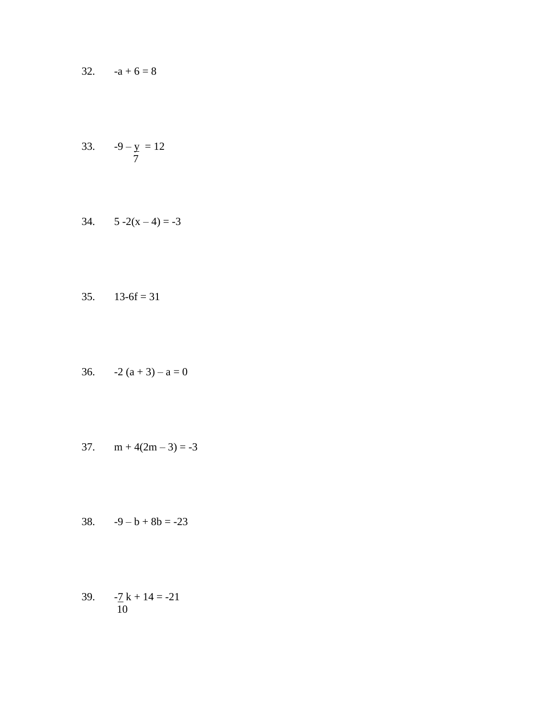32.  $-a+6=8$ 

33. 
$$
-9 - y = 12
$$

$$
34. \qquad 5-2(x-4) = -3
$$

$$
35. \qquad 13-6f = 31
$$

36. 
$$
-2(a+3)-a=0
$$

$$
37. \quad m + 4(2m - 3) = -3
$$

$$
38. \qquad -9 - b + 8b = -23
$$

39. 
$$
-\frac{7}{10}k + 14 = -21
$$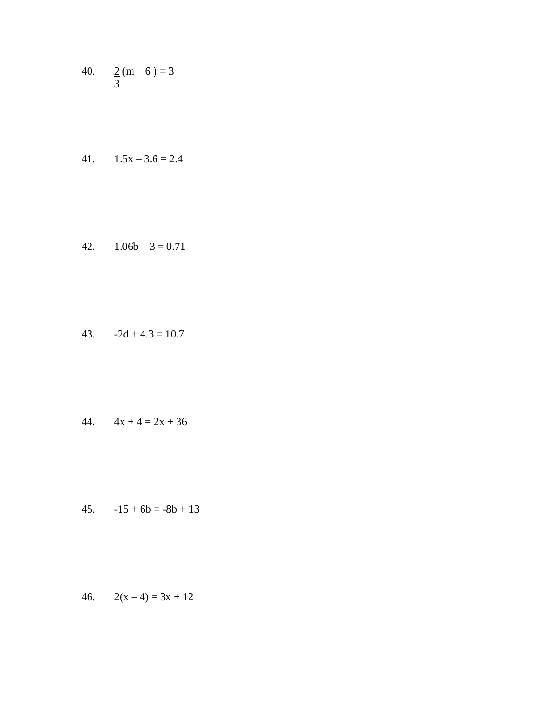40.  $\frac{2}{3}$  (m – 6) = 3

$$
41. \qquad 1.5x - 3.6 = 2.4
$$

$$
42. \qquad 1.06b - 3 = 0.71
$$

$$
43. \qquad -2d + 4.3 = 10.7
$$

$$
44. \qquad 4x + 4 = 2x + 36
$$

45.  $-15 + 6b = -8b + 13$ 

$$
46. \qquad 2(x-4) = 3x + 12
$$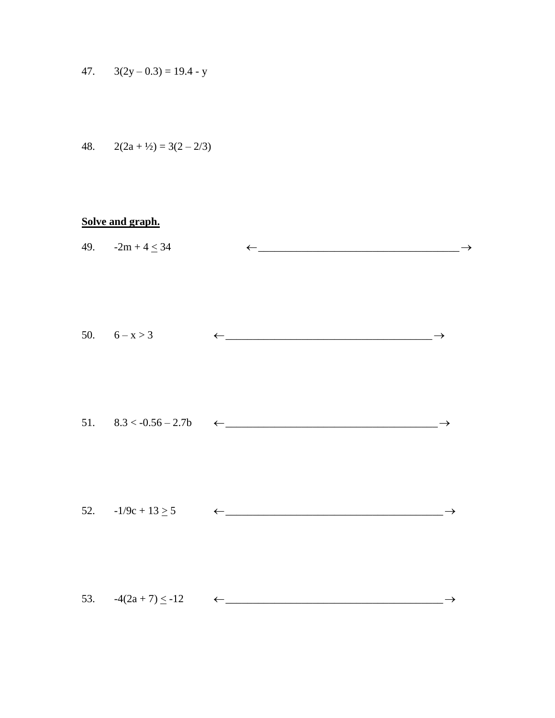$$
47. \qquad 3(2y - 0.3) = 19.4 - y
$$

48. 
$$
2(2a + \frac{1}{2}) = 3(2 - 2/3)
$$

# Solve and graph.

|  | 49. $-2m+4 \le 34$                                                          |  |
|--|-----------------------------------------------------------------------------|--|
|  | 50. $6-x>3$ $\leftarrow$                                                    |  |
|  | 51. $8.3 < -0.56 - 2.7b$ $\leftarrow$                                       |  |
|  | 52. $-1/9c + 13 \ge 5$ $\leftarrow$ $\leftarrow$ $\leftarrow$ $\rightarrow$ |  |
|  | 53. $-4(2a + 7) \le -12$ $\leftarrow$ $\leftarrow$                          |  |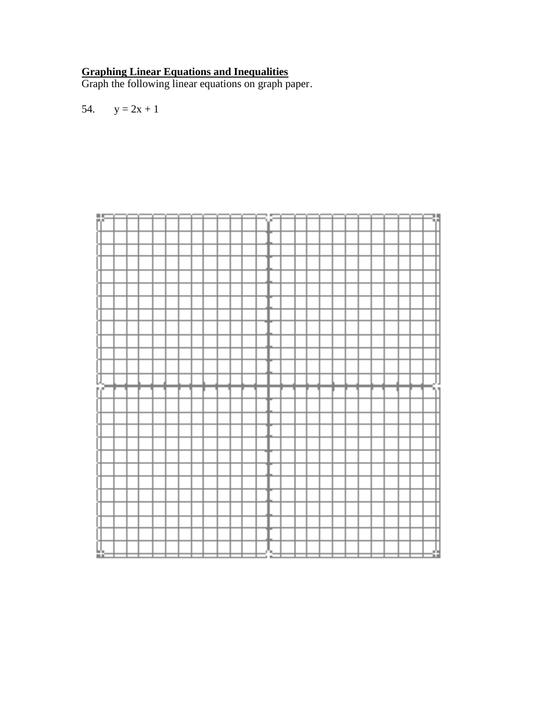#### **Graphing Linear Equations and Inequalities**

Graph the following linear equations on graph paper.

$$
54. \qquad y = 2x + 1
$$

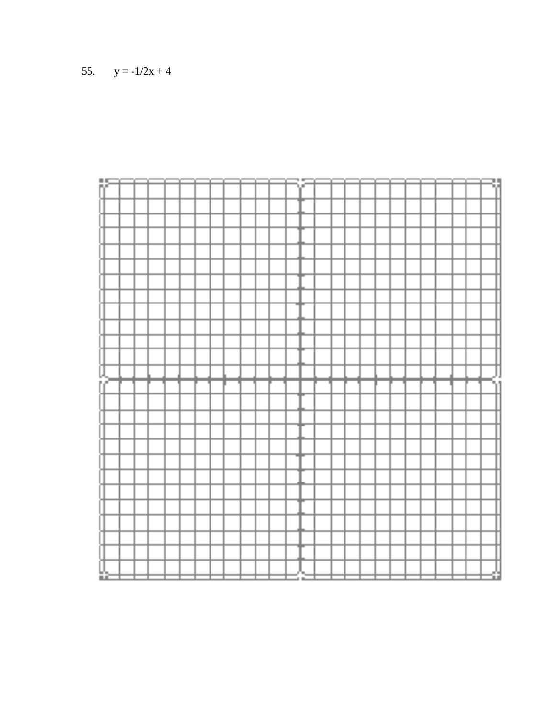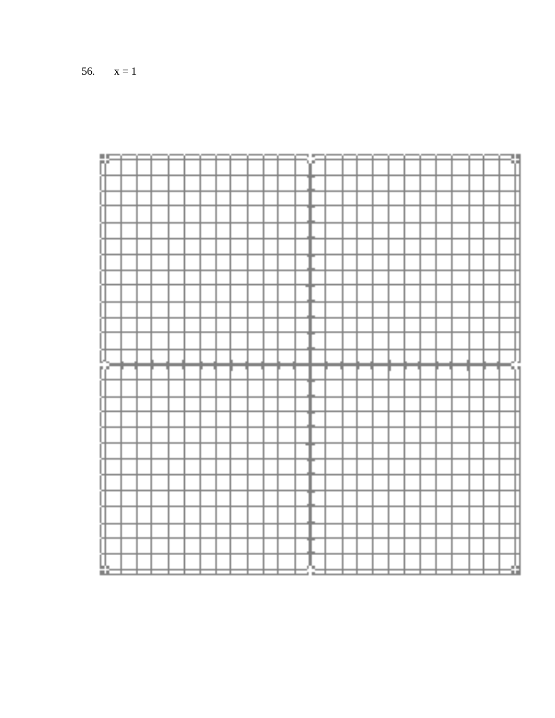

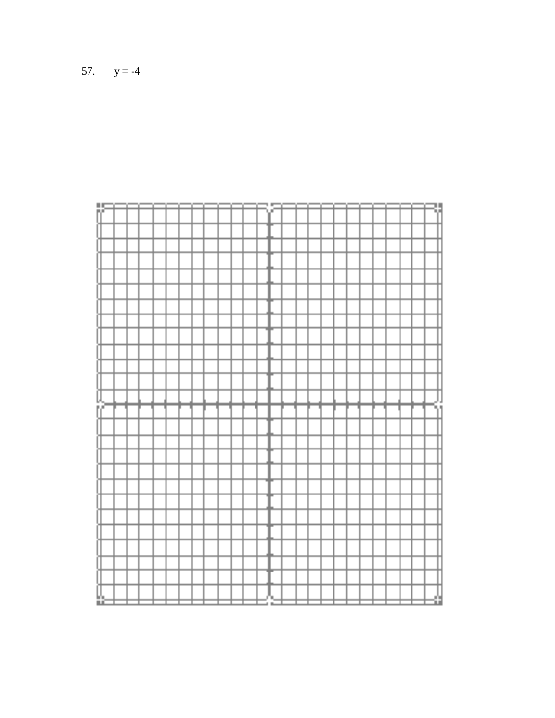

57.  $y = -4$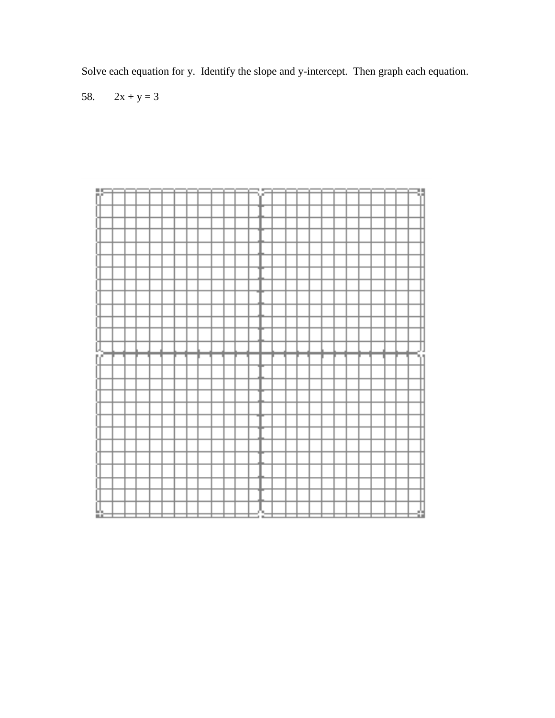Solve each equation for y. Identify the slope and y-intercept. Then graph each equation.

58.  $2x + y = 3$ 

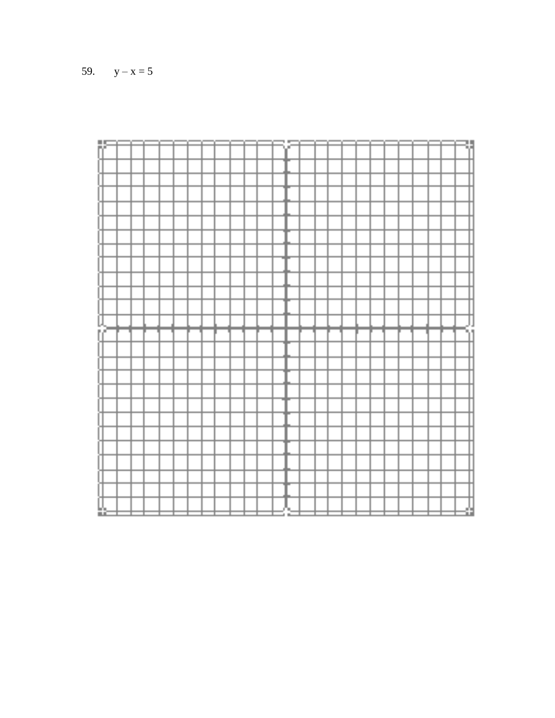| 题  |  |  |  |  |  |  | 1 |  |  |  |  |  |  |  |
|----|--|--|--|--|--|--|---|--|--|--|--|--|--|--|
|    |  |  |  |  |  |  |   |  |  |  |  |  |  |  |
|    |  |  |  |  |  |  |   |  |  |  |  |  |  |  |
|    |  |  |  |  |  |  |   |  |  |  |  |  |  |  |
|    |  |  |  |  |  |  |   |  |  |  |  |  |  |  |
|    |  |  |  |  |  |  |   |  |  |  |  |  |  |  |
|    |  |  |  |  |  |  |   |  |  |  |  |  |  |  |
|    |  |  |  |  |  |  |   |  |  |  |  |  |  |  |
|    |  |  |  |  |  |  |   |  |  |  |  |  |  |  |
|    |  |  |  |  |  |  |   |  |  |  |  |  |  |  |
|    |  |  |  |  |  |  |   |  |  |  |  |  |  |  |
|    |  |  |  |  |  |  |   |  |  |  |  |  |  |  |
|    |  |  |  |  |  |  |   |  |  |  |  |  |  |  |
|    |  |  |  |  |  |  |   |  |  |  |  |  |  |  |
|    |  |  |  |  |  |  |   |  |  |  |  |  |  |  |
|    |  |  |  |  |  |  |   |  |  |  |  |  |  |  |
|    |  |  |  |  |  |  |   |  |  |  |  |  |  |  |
|    |  |  |  |  |  |  |   |  |  |  |  |  |  |  |
|    |  |  |  |  |  |  |   |  |  |  |  |  |  |  |
|    |  |  |  |  |  |  |   |  |  |  |  |  |  |  |
|    |  |  |  |  |  |  |   |  |  |  |  |  |  |  |
|    |  |  |  |  |  |  |   |  |  |  |  |  |  |  |
|    |  |  |  |  |  |  |   |  |  |  |  |  |  |  |
|    |  |  |  |  |  |  |   |  |  |  |  |  |  |  |
|    |  |  |  |  |  |  |   |  |  |  |  |  |  |  |
|    |  |  |  |  |  |  |   |  |  |  |  |  |  |  |
|    |  |  |  |  |  |  |   |  |  |  |  |  |  |  |
|    |  |  |  |  |  |  |   |  |  |  |  |  |  |  |
|    |  |  |  |  |  |  |   |  |  |  |  |  |  |  |
|    |  |  |  |  |  |  |   |  |  |  |  |  |  |  |
|    |  |  |  |  |  |  |   |  |  |  |  |  |  |  |
|    |  |  |  |  |  |  |   |  |  |  |  |  |  |  |
|    |  |  |  |  |  |  |   |  |  |  |  |  |  |  |
|    |  |  |  |  |  |  |   |  |  |  |  |  |  |  |
|    |  |  |  |  |  |  |   |  |  |  |  |  |  |  |
|    |  |  |  |  |  |  |   |  |  |  |  |  |  |  |
|    |  |  |  |  |  |  |   |  |  |  |  |  |  |  |
|    |  |  |  |  |  |  |   |  |  |  |  |  |  |  |
|    |  |  |  |  |  |  |   |  |  |  |  |  |  |  |
|    |  |  |  |  |  |  |   |  |  |  |  |  |  |  |
|    |  |  |  |  |  |  |   |  |  |  |  |  |  |  |
|    |  |  |  |  |  |  |   |  |  |  |  |  |  |  |
|    |  |  |  |  |  |  |   |  |  |  |  |  |  |  |
|    |  |  |  |  |  |  |   |  |  |  |  |  |  |  |
|    |  |  |  |  |  |  |   |  |  |  |  |  |  |  |
|    |  |  |  |  |  |  |   |  |  |  |  |  |  |  |
|    |  |  |  |  |  |  |   |  |  |  |  |  |  |  |
| Îŕ |  |  |  |  |  |  |   |  |  |  |  |  |  |  |
|    |  |  |  |  |  |  |   |  |  |  |  |  |  |  |
|    |  |  |  |  |  |  |   |  |  |  |  |  |  |  |
|    |  |  |  |  |  |  |   |  |  |  |  |  |  |  |
|    |  |  |  |  |  |  |   |  |  |  |  |  |  |  |
|    |  |  |  |  |  |  |   |  |  |  |  |  |  |  |
|    |  |  |  |  |  |  |   |  |  |  |  |  |  |  |
|    |  |  |  |  |  |  |   |  |  |  |  |  |  |  |
|    |  |  |  |  |  |  |   |  |  |  |  |  |  |  |
|    |  |  |  |  |  |  |   |  |  |  |  |  |  |  |
|    |  |  |  |  |  |  |   |  |  |  |  |  |  |  |
|    |  |  |  |  |  |  |   |  |  |  |  |  |  |  |
|    |  |  |  |  |  |  |   |  |  |  |  |  |  |  |
|    |  |  |  |  |  |  |   |  |  |  |  |  |  |  |
|    |  |  |  |  |  |  |   |  |  |  |  |  |  |  |
|    |  |  |  |  |  |  |   |  |  |  |  |  |  |  |
|    |  |  |  |  |  |  |   |  |  |  |  |  |  |  |
|    |  |  |  |  |  |  |   |  |  |  |  |  |  |  |
|    |  |  |  |  |  |  |   |  |  |  |  |  |  |  |
|    |  |  |  |  |  |  |   |  |  |  |  |  |  |  |
|    |  |  |  |  |  |  |   |  |  |  |  |  |  |  |
|    |  |  |  |  |  |  |   |  |  |  |  |  |  |  |
|    |  |  |  |  |  |  |   |  |  |  |  |  |  |  |
|    |  |  |  |  |  |  |   |  |  |  |  |  |  |  |
|    |  |  |  |  |  |  |   |  |  |  |  |  |  |  |
|    |  |  |  |  |  |  |   |  |  |  |  |  |  |  |
|    |  |  |  |  |  |  |   |  |  |  |  |  |  |  |
|    |  |  |  |  |  |  |   |  |  |  |  |  |  |  |
|    |  |  |  |  |  |  |   |  |  |  |  |  |  |  |
|    |  |  |  |  |  |  |   |  |  |  |  |  |  |  |
|    |  |  |  |  |  |  |   |  |  |  |  |  |  |  |
|    |  |  |  |  |  |  |   |  |  |  |  |  |  |  |
|    |  |  |  |  |  |  |   |  |  |  |  |  |  |  |
|    |  |  |  |  |  |  |   |  |  |  |  |  |  |  |
|    |  |  |  |  |  |  |   |  |  |  |  |  |  |  |
|    |  |  |  |  |  |  |   |  |  |  |  |  |  |  |
|    |  |  |  |  |  |  |   |  |  |  |  |  |  |  |
|    |  |  |  |  |  |  |   |  |  |  |  |  |  |  |
|    |  |  |  |  |  |  |   |  |  |  |  |  |  |  |
|    |  |  |  |  |  |  |   |  |  |  |  |  |  |  |

59.  $y - x = 5$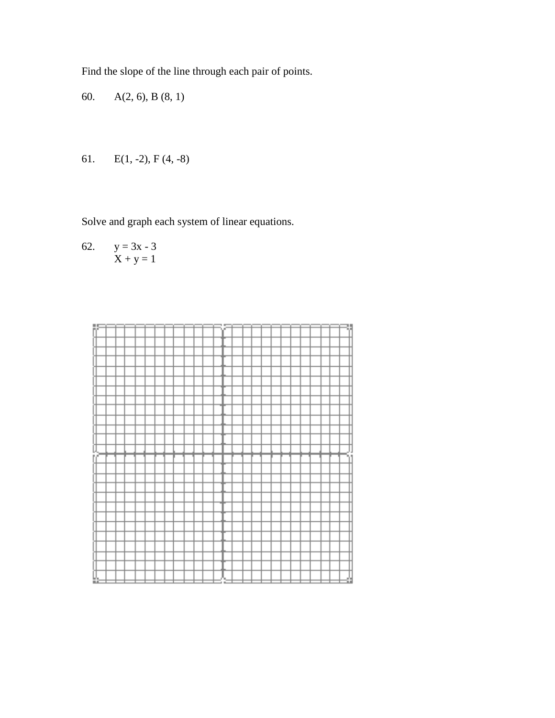Find the slope of the line through each pair of points.

60. A(2, 6), B (8, 1)

61. 
$$
E(1, -2), F(4, -8)
$$

Solve and graph each system of linear equations.

62. 
$$
y = 3x - 3
$$

$$
X + y = 1
$$

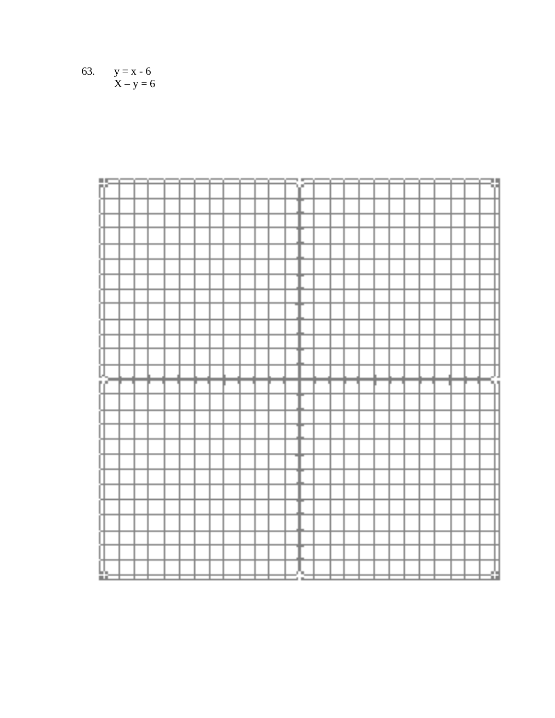63. 
$$
y = x - 6
$$

$$
X - y = 6
$$

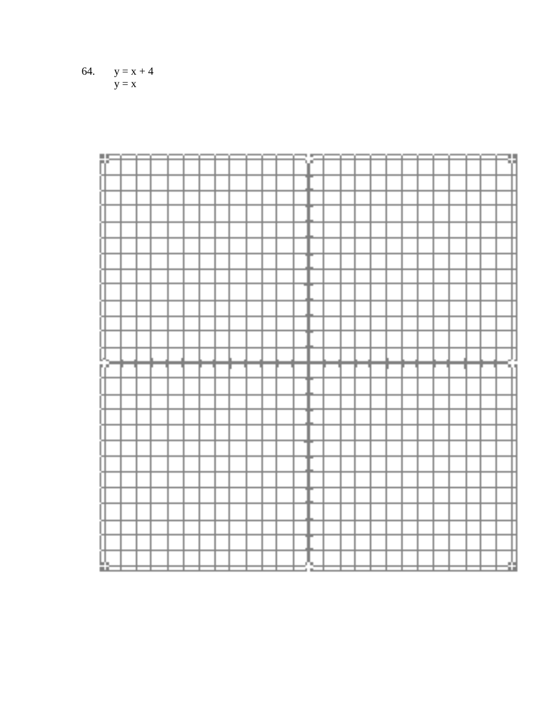

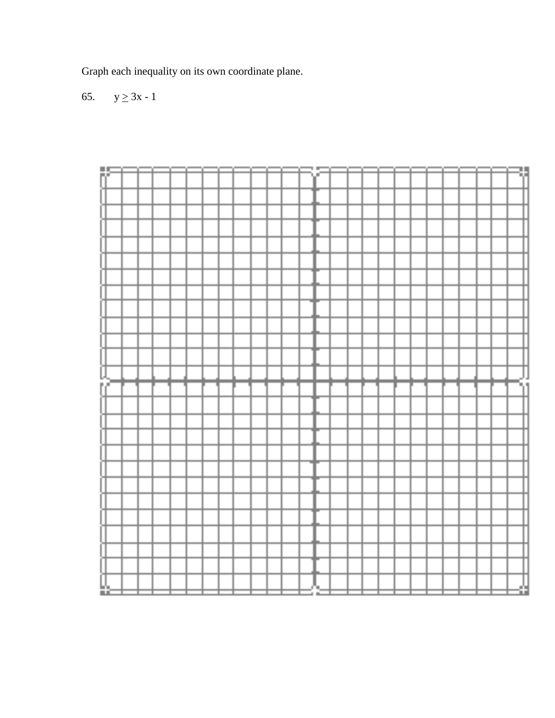Graph each inequality on its own coordinate plane.

65.  $y \ge 3x - 1$ 

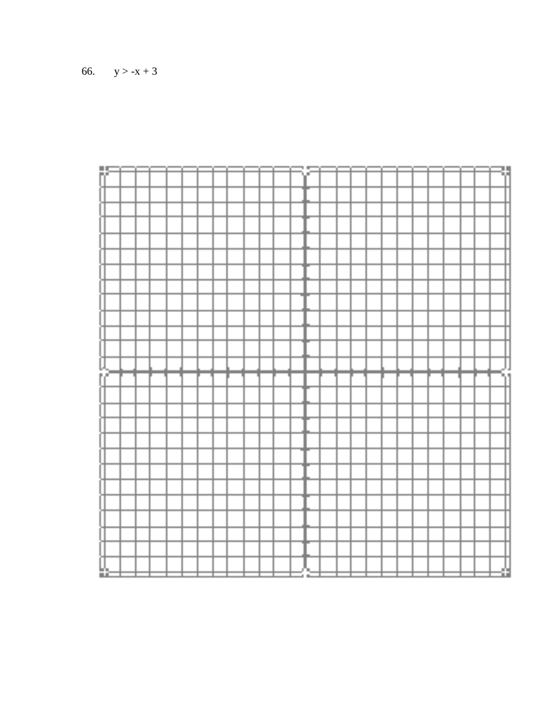|     | hF<br>D |  |  |  |  |  |  | t B |  |  |  |  |  | U   |  |
|-----|---------|--|--|--|--|--|--|-----|--|--|--|--|--|-----|--|
|     |         |  |  |  |  |  |  |     |  |  |  |  |  |     |  |
|     |         |  |  |  |  |  |  |     |  |  |  |  |  |     |  |
|     |         |  |  |  |  |  |  |     |  |  |  |  |  |     |  |
|     |         |  |  |  |  |  |  |     |  |  |  |  |  |     |  |
|     |         |  |  |  |  |  |  |     |  |  |  |  |  |     |  |
|     |         |  |  |  |  |  |  |     |  |  |  |  |  |     |  |
|     |         |  |  |  |  |  |  |     |  |  |  |  |  |     |  |
|     |         |  |  |  |  |  |  |     |  |  |  |  |  |     |  |
|     |         |  |  |  |  |  |  |     |  |  |  |  |  |     |  |
|     |         |  |  |  |  |  |  |     |  |  |  |  |  |     |  |
|     |         |  |  |  |  |  |  |     |  |  |  |  |  |     |  |
|     |         |  |  |  |  |  |  |     |  |  |  |  |  |     |  |
|     |         |  |  |  |  |  |  |     |  |  |  |  |  |     |  |
|     |         |  |  |  |  |  |  |     |  |  |  |  |  |     |  |
|     |         |  |  |  |  |  |  |     |  |  |  |  |  |     |  |
|     |         |  |  |  |  |  |  |     |  |  |  |  |  |     |  |
|     |         |  |  |  |  |  |  |     |  |  |  |  |  |     |  |
|     |         |  |  |  |  |  |  |     |  |  |  |  |  |     |  |
|     |         |  |  |  |  |  |  |     |  |  |  |  |  |     |  |
|     |         |  |  |  |  |  |  |     |  |  |  |  |  |     |  |
|     |         |  |  |  |  |  |  |     |  |  |  |  |  |     |  |
|     |         |  |  |  |  |  |  |     |  |  |  |  |  |     |  |
|     |         |  |  |  |  |  |  |     |  |  |  |  |  |     |  |
|     |         |  |  |  |  |  |  |     |  |  |  |  |  |     |  |
|     |         |  |  |  |  |  |  |     |  |  |  |  |  |     |  |
|     |         |  |  |  |  |  |  |     |  |  |  |  |  |     |  |
|     |         |  |  |  |  |  |  |     |  |  |  |  |  |     |  |
|     |         |  |  |  |  |  |  |     |  |  |  |  |  |     |  |
|     |         |  |  |  |  |  |  |     |  |  |  |  |  |     |  |
|     |         |  |  |  |  |  |  |     |  |  |  |  |  |     |  |
|     |         |  |  |  |  |  |  |     |  |  |  |  |  |     |  |
|     |         |  |  |  |  |  |  |     |  |  |  |  |  |     |  |
|     |         |  |  |  |  |  |  |     |  |  |  |  |  |     |  |
|     |         |  |  |  |  |  |  |     |  |  |  |  |  |     |  |
|     |         |  |  |  |  |  |  |     |  |  |  |  |  |     |  |
|     |         |  |  |  |  |  |  |     |  |  |  |  |  |     |  |
|     |         |  |  |  |  |  |  |     |  |  |  |  |  |     |  |
|     |         |  |  |  |  |  |  |     |  |  |  |  |  |     |  |
|     |         |  |  |  |  |  |  |     |  |  |  |  |  |     |  |
|     |         |  |  |  |  |  |  |     |  |  |  |  |  | 'n. |  |
|     |         |  |  |  |  |  |  |     |  |  |  |  |  |     |  |
|     | Л<br>М  |  |  |  |  |  |  |     |  |  |  |  |  |     |  |
|     |         |  |  |  |  |  |  |     |  |  |  |  |  |     |  |
|     |         |  |  |  |  |  |  |     |  |  |  |  |  |     |  |
|     |         |  |  |  |  |  |  |     |  |  |  |  |  |     |  |
|     |         |  |  |  |  |  |  |     |  |  |  |  |  |     |  |
|     |         |  |  |  |  |  |  |     |  |  |  |  |  |     |  |
|     |         |  |  |  |  |  |  |     |  |  |  |  |  |     |  |
|     |         |  |  |  |  |  |  |     |  |  |  |  |  |     |  |
|     |         |  |  |  |  |  |  |     |  |  |  |  |  |     |  |
|     |         |  |  |  |  |  |  |     |  |  |  |  |  |     |  |
|     |         |  |  |  |  |  |  |     |  |  |  |  |  |     |  |
|     |         |  |  |  |  |  |  |     |  |  |  |  |  |     |  |
|     |         |  |  |  |  |  |  |     |  |  |  |  |  |     |  |
|     |         |  |  |  |  |  |  |     |  |  |  |  |  |     |  |
|     |         |  |  |  |  |  |  |     |  |  |  |  |  |     |  |
|     |         |  |  |  |  |  |  |     |  |  |  |  |  |     |  |
|     |         |  |  |  |  |  |  |     |  |  |  |  |  |     |  |
|     |         |  |  |  |  |  |  |     |  |  |  |  |  |     |  |
|     |         |  |  |  |  |  |  |     |  |  |  |  |  |     |  |
|     |         |  |  |  |  |  |  |     |  |  |  |  |  |     |  |
|     |         |  |  |  |  |  |  |     |  |  |  |  |  |     |  |
|     |         |  |  |  |  |  |  |     |  |  |  |  |  |     |  |
|     |         |  |  |  |  |  |  |     |  |  |  |  |  |     |  |
|     |         |  |  |  |  |  |  |     |  |  |  |  |  |     |  |
|     |         |  |  |  |  |  |  |     |  |  |  |  |  |     |  |
|     |         |  |  |  |  |  |  |     |  |  |  |  |  |     |  |
|     |         |  |  |  |  |  |  |     |  |  |  |  |  |     |  |
|     |         |  |  |  |  |  |  |     |  |  |  |  |  |     |  |
|     |         |  |  |  |  |  |  |     |  |  |  |  |  |     |  |
|     |         |  |  |  |  |  |  |     |  |  |  |  |  |     |  |
|     |         |  |  |  |  |  |  |     |  |  |  |  |  |     |  |
|     |         |  |  |  |  |  |  |     |  |  |  |  |  |     |  |
|     |         |  |  |  |  |  |  |     |  |  |  |  |  |     |  |
|     |         |  |  |  |  |  |  |     |  |  |  |  |  |     |  |
|     |         |  |  |  |  |  |  |     |  |  |  |  |  |     |  |
| n m |         |  |  |  |  |  |  | m   |  |  |  |  |  | дYн |  |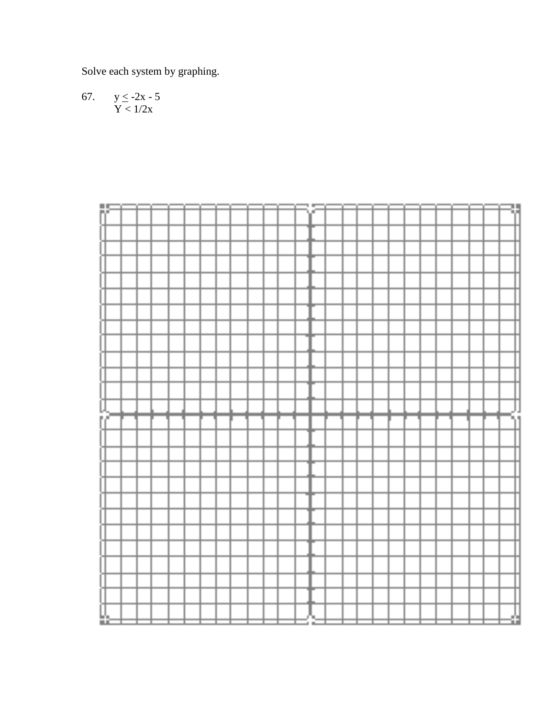Solve each system by graphing.

 $y \le -2x - 5$ <br> $Y < 1/2x$ 67.

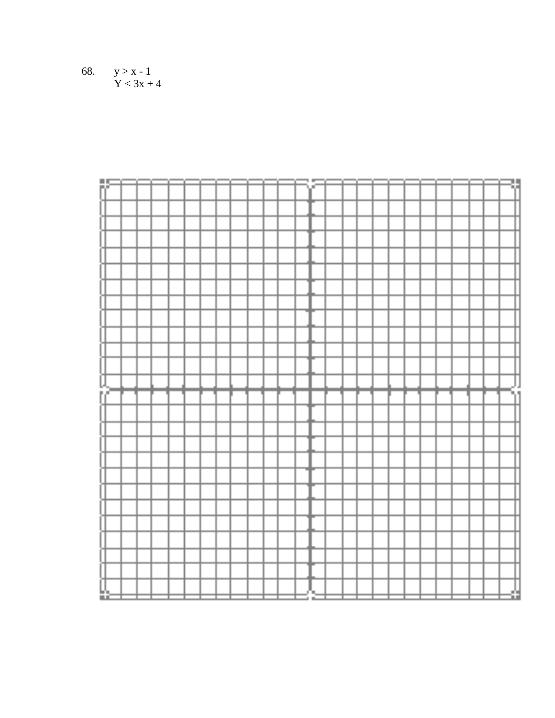$y > x - 1$ <br> $Y < 3x + 4$ 68.